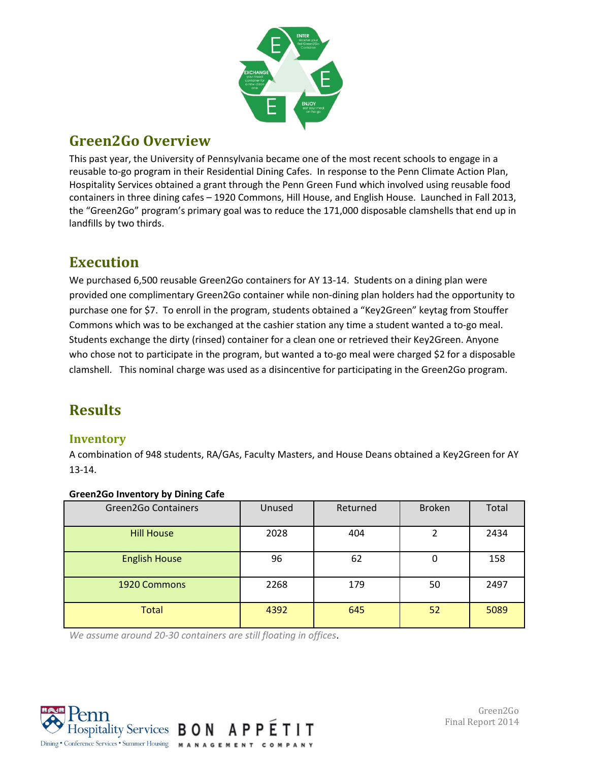

# **Green2Go Overview**

This past year, the University of Pennsylvania became one of the most recent schools to engage in a reusable to-go program in their Residential Dining Cafes. In response to the Penn Climate Action Plan, Hospitality Services obtained a grant through the Penn Green Fund which involved using reusable food containers in three dining cafes – 1920 Commons, Hill House, and English House. Launched in Fall 2013, the "Green2Go" program's primary goal was to reduce the 171,000 disposable clamshells that end up in landfills by two thirds.

### **Execution**

We purchased 6,500 reusable Green2Go containers for AY 13-14. Students on a dining plan were provided one complimentary Green2Go container while non-dining plan holders had the opportunity to purchase one for \$7. To enroll in the program, students obtained a "Key2Green" keytag from Stouffer Commons which was to be exchanged at the cashier station any time a student wanted a to-go meal. Students exchange the dirty (rinsed) container for a clean one or retrieved their Key2Green. Anyone who chose not to participate in the program, but wanted a to-go meal were charged \$2 for a disposable clamshell. This nominal charge was used as a disincentive for participating in the Green2Go program.

# **Results**

### **Inventory**

A combination of 948 students, RA/GAs, Faculty Masters, and House Deans obtained a Key2Green for AY 13-14.

| . .<br>-                   |        |          |               |       |
|----------------------------|--------|----------|---------------|-------|
| <b>Green2Go Containers</b> | Unused | Returned | <b>Broken</b> | Total |
| <b>Hill House</b>          | 2028   | 404      |               | 2434  |
| <b>English House</b>       | 96     | 62       | 0             | 158   |
| 1920 Commons               | 2268   | 179      | 50            | 2497  |
| <b>Total</b>               | 4392   | 645      | 52            | 5089  |

#### **Green2Go Inventory by Dining Cafe**

*We assume around 20-30 containers are still floating in offices*.

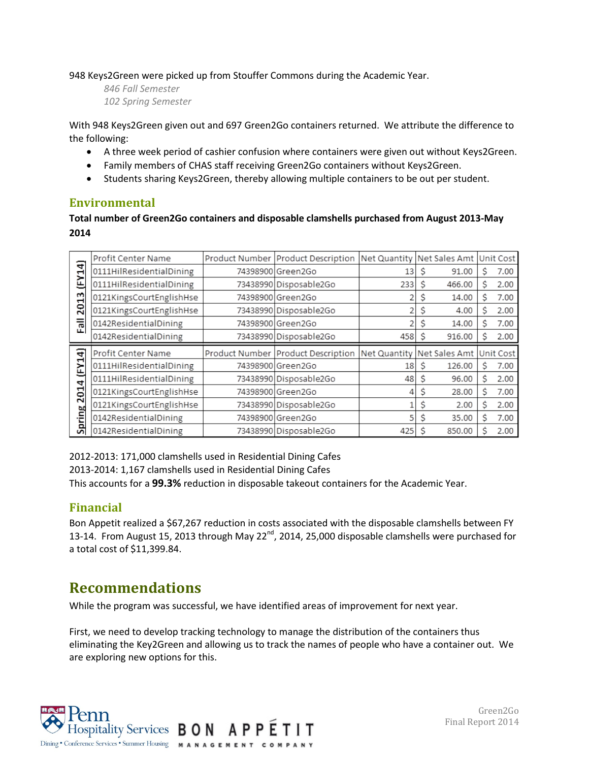948 Keys2Green were picked up from Stouffer Commons during the Academic Year.

*846 Fall Semester 102 Spring Semester*

With 948 Keys2Green given out and 697 Green2Go containers returned. We attribute the difference to the following:

- A three week period of cashier confusion where containers were given out without Keys2Green.
- Family members of CHAS staff receiving Green2Go containers without Keys2Green.
- Students sharing Keys2Green, thereby allowing multiple containers to be out per student.

### **Environmental**

#### **Total number of Green2Go containers and disposable clamshells purchased from August 2013-May 2014**

|               | Profit Center Name       | Product Number Product Description   | Net Quantity | Net Sales Amt |    | Unit Cost |
|---------------|--------------------------|--------------------------------------|--------------|---------------|----|-----------|
| (FY14)        | 0111HilResidentialDining | 74398900 Green2Go                    | 13           | 91.00         | S  | 7.00      |
|               | 0111HilResidentialDining | 73438990 Disposable2Go               | 233          | 466.00        | S  | 2.00      |
| 2013          | 0121KingsCourtEnglishHse | 74398900 Green2Go                    |              | 14.00         | S  | 7.00      |
|               | 0121KingsCourtEnglishHse | 73438990 Disposable2Go               |              | 4.00          | S  | 2.00      |
| 륷             | 0142ResidentialDining    | 74398900 Green2Go                    |              | 14.00         | Ś  | 7.00      |
| ш.            | 0142ResidentialDining    | 73438990 Disposable2Go               | 458          | 916.00        | S  | 2.00      |
|               |                          |                                      |              |               |    |           |
| e.            | Profit Center Name       | Product Number   Product Description | Net Quantity | Net Sales Amt |    | Unit Cost |
|               | 0111HilResidentialDining | 74398900 Green2Go                    | 18           | 126.00<br>S   | S  | 7.00      |
| Œ<br>F        | 0111HilResidentialDining | 73438990 Disposable2Go               | 48           | 96.00         | Ś. | 2.00      |
| 4             | 0121KingsCourtEnglishHse | 74398900 Green2Go                    |              | 28.00         | S  | 7.00      |
| <b>201</b>    | 0121KingsCourtEnglishHse | 73438990 Disposable2Go               |              | 2.00          | S  | 2.00      |
| <b>Spring</b> | 0142ResidentialDining    | 74398900 Green 2Go                   |              | 35.00         | S  | 7.00      |

2012-2013: 171,000 clamshells used in Residential Dining Cafes

2013-2014: 1,167 clamshells used in Residential Dining Cafes

This accounts for a **99.3%** reduction in disposable takeout containers for the Academic Year.

### **Financial**

Bon Appetit realized a \$67,267 reduction in costs associated with the disposable clamshells between FY 13-14. From August 15, 2013 through May 22<sup>nd</sup>, 2014, 25,000 disposable clamshells were purchased for a total cost of \$11,399.84.

### **Recommendations**

While the program was successful, we have identified areas of improvement for next year.

First, we need to develop tracking technology to manage the distribution of the containers thus eliminating the Key2Green and allowing us to track the names of people who have a container out. We are exploring new options for this.